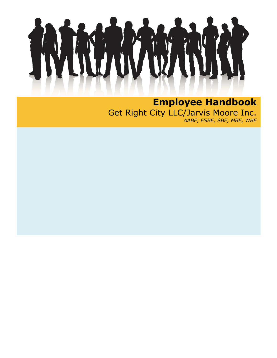**Employee Handbook**  Get Right City LLC/Jarvis Moore Inc. *AABE, ESBE, SBE, MBE, WBE*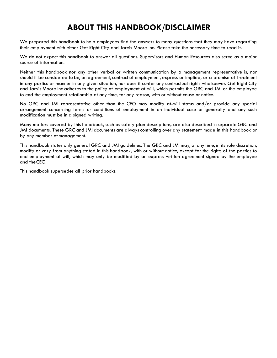# **ABOUT THIS HANDBOOK/DISCLAIMER**

We prepared this handbook to help employees find the answers to many questions that they may have regarding their employment with either Get Right City and Jarvis Moore Inc. Please take the necessary time to read it.

We do not expect this handbook to answer all questions. Supervisors and Human Resources also serve as a major source of information.

Neither this handbook nor any other verbal or written communication by a management representative is, nor should it be considered to be, an agreement,contract of employment, express or implied, or a promise of treatment in any particular manner in any given situation, nor does it confer any contractual rights whatsoever. Get Right City and Jarvis Moore Inc adheres to the policy of employment at will, which permits the GRC and JMI or the employee to end the employment relationship at any time, for any reason, with or without cause or notice.

No GRC and JMI representative other than the CEO may modify at-will status and/or provide any special arrangement concerning terms or conditions of employment in an individual case or generally and any such modification must be in a signed writing.

Many matters covered by this handbook, such as safety plan descriptions, are also described in separate GRC and JMI documents. These GRC and JMI documents are always controlling over any statement made in this handbook or by any member ofmanagement.

This handbook states only general GRC and JMI guidelines. The GRC and JMI may, at any time, in its sole discretion, modify or vary from anything stated in this handbook, with or without notice, except for the rights of the parties to end employment at will, which may only be modified by an express written agreement signed by the employee and theCEO.

This handbook supersedes all prior handbooks.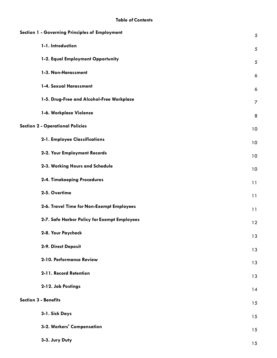| Section 1 - Governing Principles of Employment | $\sqrt{5}$     |
|------------------------------------------------|----------------|
| 1-1. Introduction                              | 5              |
| 1-2. Equal Employment Opportunity              | $\sqrt{5}$     |
| 1-3. Non-Harassment                            | $\ddot{\circ}$ |
| 1-4. Sexual Harassment                         | 6              |
| 1-5. Drug-Free and Alcohol-Free Workplace      | $\overline{7}$ |
| 1-6. Workplace Violence                        | 8              |
| <b>Section 2 - Operational Policies</b>        | 10             |
| 2-1. Employee Classifications                  | 10             |
| 2-2. Your Employment Records                   | 10             |
| 2-3. Working Hours and Schedule                | 10             |
| 2-4. Timekeeping Procedures                    | 11             |
| 2-5. Overtime                                  | 11             |
| 2-6. Travel Time for Non-Exempt Employees      | 11             |
| 2-7. Safe Harbor Policy for Exempt Employees   | 12             |
| 2-8. Your Paycheck                             | 13             |
| 2-9. Direct Deposit                            | 13             |
| 2-10. Performance Review                       | 13             |
| 2-11. Record Retention                         | 13             |
| 2-12. Job Postings                             | 14             |
| <b>Section 3 - Benefits</b>                    | 15             |
| 3-1. Sick Days                                 | 15             |
| 3-2. Workers' Compensation                     | 15             |
| 3-3. Jury Duty                                 | 15             |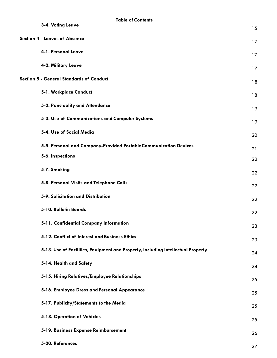| <b>Table of Contents</b><br>3-4. Voting Leave                                    | 15 |
|----------------------------------------------------------------------------------|----|
| <b>Section 4 - Leaves of Absence</b>                                             | 17 |
| 4-1. Personal Leave                                                              | 17 |
| 4-2. Military Leave                                                              | 17 |
| Section 5 - General Standards of Conduct                                         | 18 |
| 5-1. Workplace Conduct                                                           | 18 |
| 5-2. Punctuality and Attendance                                                  | 19 |
| 5-3. Use of Communications and Computer Systems                                  | 19 |
| 5-4. Use of Social Media                                                         | 20 |
| 5-5. Personal and Company-Provided Portable Communication Devices                | 21 |
| 5-6. Inspections                                                                 | 22 |
| 5-7. Smoking                                                                     | 22 |
| 5-8. Personal Visits and Telephone Calls                                         | 22 |
| 5-9. Solicitation and Distribution                                               | 22 |
| 5-10. Bulletin Boards                                                            | 22 |
| 5-11. Confidential Company Information                                           | 23 |
| 5-12. Conflict of Interest and Business Ethics                                   | 23 |
| 5-13. Use of Facilities, Equipment and Property, Including Intellectual Property | 24 |
| 5-14. Health and Safety                                                          | 24 |
| 5-15. Hiring Relatives/Employee Relationships                                    | 25 |
| 5-16. Employee Dress and Personal Appearance                                     | 25 |
| 5-17. Publicity/Statements to the Media                                          | 25 |
| 5-18. Operation of Vehicles                                                      | 25 |
| 5-19. Business Expense Reimbursement                                             | 26 |
| 5-20. References                                                                 | 27 |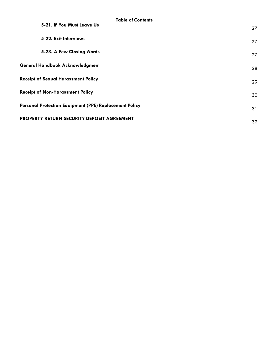| <b>Table of Contents</b>                               |    |
|--------------------------------------------------------|----|
| 5-21. If You Must Leave Us                             | 27 |
| 5-22. Exit Interviews                                  | 27 |
| 5-23. A Few Closing Words                              | 27 |
| <b>General Handbook Acknowledgment</b>                 | 28 |
| <b>Receipt of Sexual Harassment Policy</b>             | 29 |
| <b>Receipt of Non-Harassment Policy</b>                | 30 |
| Personal Protection Equipment (PPE) Replacement Policy | 31 |
| PROPERTY RETURN SECURITY DEPOSIT AGREEMENT             | 32 |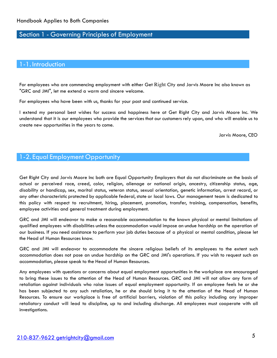## Section 1 - Governing Principles of Employment

#### 1-1. Introduction

For employees who are commencing employment with either Get Right City and Jarvis Moore Inc also known as "GRC and JMI", let me extend a warm and sincere welcome.

For employees who have been with us, thanks for your past and continued service.

I extend my personal best wishes for success and happiness here at Get Right City and Jarvis Moore Inc. We understand that it is our employees who provide the services that our customers rely upon, and who will enable us to create new opportunities in the years to come.

Jarvis Moore, CEO

## 1-2. Equal Employment Opportunity

Get Right City and Jarvis Moore Inc both are Equal Opportunity Employers that do not discriminate on the basis of actual or perceived race, creed, color, religion, alienage or national origin, ancestry, citizenship status, age, disability or handicap, sex, marital status, veteran status, sexual orientation, genetic information, arrest record, or any other characteristic protected by applicable federal, state or local laws. Our management team is dedicated to this policy with respect to recruitment, hiring, placement, promotion, transfer, training, compensation, benefits, employee activities and general treatment during employment.

GRC and JMI will endeavor to make a reasonable accommodation to the known physical or mental limitations of qualified employees with disabilities unless the accommodation would impose an undue hardship on the operation of our business. If you need assistance to perform your job duties because of a physical or mental condition, please let the Head of Human Resources know.

GRC and JMI will endeavor to accommodate the sincere religious beliefs of its employees to the extent such accommodation does not pose an undue hardship on the GRC and JMI's operations. If you wish to request such an accommodation, please speak to the Head of Human Resources.

Any employees with questions or concerns about equal employment opportunities in the workplace are encouraged to bring these issues to the attention of the Head of Human Resources. GRC and JMI will not allow any form of retaliation against individuals who raise issues of equal employment opportunity. If an employee feels he or she has been subjected to any such retaliation, he or she should bring it to the attention of the Head of Human Resources. To ensure our workplace is free of artificial barriers, violation of this policy including any improper retaliatory conduct will lead to discipline, up to and including discharge. All employees must cooperate with all investigations.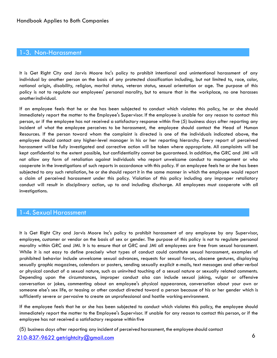#### 1-3. Non-Harassment

It is Get Right City and Jarvis Moore Inc's policy to prohibit intentional and unintentional harassment of any individual by another person on the basis of any protected classification including, but not limited to, race, color, national origin, disability, religion, marital status, veteran status, sexual orientation or age. The purpose of this policy is not to regulate our employees' personal morality, but to ensure that in the workplace, no one harasses anotherindividual.

If an employee feels that he or she has been subjected to conduct which violates this policy, he or she should immediately report the matter to the Employee's Supervisor. If the employee is unable for any reason to contact this person, or if the employee has not received a satisfactory response within five (5) business days after reporting any incident of what the employee perceives to be harassment, the employee should contact the Head of Human Resources. If the person toward whom the complaint is directed is one of the individuals indicated above, the employee should contact any higher-level manager in his or her reporting hierarchy. Every report of perceived harassment will be fully investigated and corrective action will be taken where appropriate. All complaints will be kept confidential to the extent possible, but confidentiality cannot be guaranteed. In addition, the GRC and JMI will not allow any form of retaliation against individuals who report unwelcome conduct to management or who cooperate in the investigations of such reports in accordance with this policy. If an employee feels he or she has been subjected to any such retaliation, he or she should report it in the same manner in which the employee would report a claim of perceived harassment under this policy. Violation of this policy including any improper retaliatory conduct will result in disciplinary action, up to and including discharge. All employees must cooperate with all investigations.

#### 1-4. Sexual Harassment

It is Get Right City and Jarvis Moore Inc's policy to prohibit harassment of any employee by any Supervisor, employee, customer or vendor on the basis of sex or gender. The purpose of this policy is not to regulate personal morality within GRC and JMI. It is to ensure that at GRC and JMI all employees are free from sexual harassment. While it is not easy to define precisely what types of conduct could constitute sexual harassment, examples of prohibited behavior include unwelcome sexual advances, requests for sexual favors, obscene gestures, displaying sexually graphic magazines, calendars or posters, sending sexually explicit e-mails, text messages and other verbal or physical conduct of a sexual nature, such as uninvited touching of a sexual nature or sexually related comments. Depending upon the circumstances, improper conduct also can include sexual joking, vulgar or offensive conversation or jokes, commenting about an employee's physical appearance, conversation about your own or someone else's sex life, or teasing or other conduct directed toward a person because of his or her gender which is sufficiently severe or pervasive to create an unprofessional and hostile working environment.

If the employee feels that he or she has been subjected to conduct which violates this policy, the employee should immediately report the matter to the Employee's Supervisor. If unable for any reason to contact this person, or if the employee has not received a satisfactory response within five

(5) business days after reporting any incident of perceived harassment, the employee should contact

# 6 [210-837-9622 getrightcity@gmail.com](mailto:210-837-9622%2520getrightcity@gmail.com)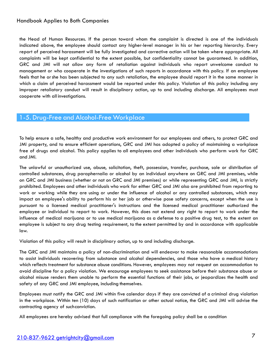the Head of Human Resources. If the person toward whom the complaint is directed is one of the individuals indicated above, the employee should contact any higher-level manager in his or her reporting hierarchy. Every report of perceived harassment will be fully investigated and corrective action will be taken where appropriate. All complaints will be kept confidential to the extent possible, but confidentiality cannot be guaranteed. In addition, GRC and JMI will not allow any form of retaliation against individuals who report unwelcome conduct to management or who cooperate in the investigations of such reports in accordance with this policy. If an employee feels that he orshe has been subjected to any such retaliation, the employee should report it in the same manner in which a claim of perceived harassment would be reported under this policy. Violation of this policy including any improper retaliatory conduct will result in disciplinary action, up to and including discharge. All employees must cooperate with all investigations.

## 1-5. Drug-Free and Alcohol-Free Workplace

To help ensure a safe, healthy and productive work environment for our employees and others, to protect GRC and JMI property, and to ensure efficient operations, GRC and JMI has adopted a policy of maintaining a workplace free of drugs and alcohol. This policy applies to all employees and other individuals who perform work for GRC and JMI.

The unlawful or unauthorized use, abuse, solicitation, theft, possession, transfer, purchase, sale or distribution of controlled substances, drug paraphernalia or alcohol by an individual anywhere on GRC and JMI premises, while on GRC and JMI business (whether or not on GRC and JMI premises) or while representing GRC and JMI, is strictly prohibited. Employees and other individuals who work for either GRC and JMI also are prohibited from reporting to work or working while they are using or under the influence of alcohol or any controlled substances, which may impact an employee's ability to perform his or her job or otherwise pose safety concerns, except when the use is pursuant to a licensed medical practitioner's instructions and the licensed medical practitioner authorized the employee or individual to report to work. However, this does not extend any right to report to work under the influence of medical marijuana or to use medical marijuana as a defense to a positive drug test, to the extent an employee is subject to any drug testing requirement, to the extent permitted by and in accordance with applicable law.

Violation of this policy will result in disciplinary action, up to and including discharge.

The GRC and JMI maintains a policy of non-discrimination and will endeavor to make reasonable accommodations to assist individuals recovering from substance and alcohol dependencies, and those who have a medical history which reflects treatment for substance abuse conditions. However, employees may not request an accommodation to avoid discipline for a policy violation. We encourage employees to seek assistance before their substance abuse or alcohol misuse renders them unable to perform the essential functions of their jobs, or jeopardizes the health and safety of any GRC and JMI employee, including themselves.

Employees must notify the GRC and JMI within five calendar days if they are convicted of a criminal drug violation in the workplace. Within ten (10) days of such notification or other actual notice, the GRC and JMI will advise the contracting agency of suchconviction.

All employees are hereby advised that full compliance with the foregoing policy shall be a condition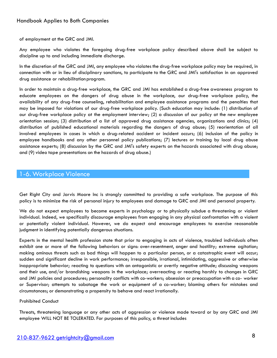of employment at the GRC and JMI.

Any employee who violates the foregoing drug-free workplace policy described above shall be subject to discipline up to and including immediate discharge.

In the discretion of the GRC and JMI, any employee who violates the drug-free workplace policy may be required, in connection with or in lieu of disciplinary sanctions, to participate to the GRC and JMI's satisfaction in an approved drug assistance or rehabilitationprogram.

In order to maintain a drug-free workplace, the GRC and JMI has established a drug-free awareness program to educate employees on the dangers of drug abuse in the workplace, our drug-free workplace policy, the availability of any drug-free counseling, rehabilitation and employee assistance programs and the penalties that may be imposed for violations of our drug-free workplace policy. (Such education may include: (1) distribution of our drug-free workplace policy at the employment interview; (2) a discussion of our policy at the new employee orientation session; (3) distribution of a list of approved drug assistance agencies, organizations and clinics; (4) distribution of published educational materials regarding the dangers of drug abuse; (5) reorientation of all involved employees in cases in which a drug-related accident or incident occurs; (6) inclusion of the policy in employee handbooks and any other personnel policy publications; (7) lectures or training by local drug abuse assistance experts; (8) discussion by the GRC and JMI's safety experts on the hazards associated with drug abuse; and (9) video tape presentations on the hazards of drug abuse.)

#### 1-6. Workplace Violence

Get Right City and Jarvis Moore Inc is strongly committed to providing a safe workplace. The purpose of this policy is to minimize the risk of personal injury to employees and damage to GRC and JMI and personal property.

We do not expect employees to become experts in psychology or to physically subdue a threatening or violent individual. Indeed, we specifically discourage employees from engaging in any physical confrontation with a violent or potentially violent individual. However, we do expect and encourage employees to exercise reasonable judgment in identifying potentially dangerous situations.

Experts in the mental health profession state that prior to engaging in acts of violence, troubled individuals often exhibit one or more of the following behaviors or signs: over-resentment, anger and hostility; extreme agitation; making ominous threats such as bad things will happen to a particular person, or a catastrophic event will occur; sudden and significant decline in work performance; irresponsible, irrational, intimidating, aggressive or otherwise inappropriate behavior; reacting to questions with an antagonistic or overtly negative attitude; discussing weapons and their use, and/or brandishing weapons in the workplace; overreacting or reacting harshly to changes in GRC and JMI policies and procedures; personality conflicts with co-workers; obsession or preoccupation with a co- worker or Supervisor; attempts to sabotage the work or equipment of a co-worker; blaming others for mistakes and circumstances; or demonstrating a propensity to behave and react irrationally.

#### Prohibited Conduct

Threats, threatening language or any other acts of aggression or violence made toward or by any GRC and JMI employee WILL NOT BE TOLERATED. For purposes of this policy, a threat includes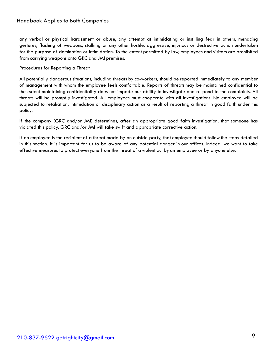any verbal or physical harassment or abuse, any attempt at intimidating or instilling fear in others, menacing gestures, flashing of weapons, stalking or any other hostile, aggressive, injurious or destructive action undertaken for the purpose of domination or intimidation. To the extent permitted by law, employees and visitors are prohibited from carrying weapons onto GRC and JMI premises.

Procedures for Reporting a Threat

All potentially dangerous situations, including threats by co-workers, should be reported immediately to any member of management with whom the employee feels comfortable. Reports of threats may be maintained confidential to the extent maintaining confidentiality does not impede our ability to investigate and respond to the complaints. All threats will be promptly investigated. All employees must cooperate with all investigations. No employee will be subjected to retaliation, intimidation or disciplinary action as a result of reporting a threat in good faith under this policy.

If the company (GRC and/or JMI) determines, after an appropriate good faith investigation, that someone has violated this policy, GRC and/or JMI will take swift and appropriate corrective action.

If an employee is the recipient of a threat made by an outside party, that employee should follow the steps detailed in this section. It is important for us to be aware of any potential danger in our offices. Indeed, we want to take effective measures to protect everyone from the threat of a violent act by an employee or by anyone else.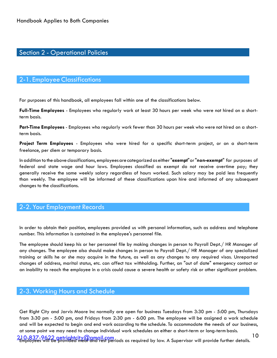# Section 2 - Operational Policies

#### 2-1. Employee Classifications

For purposes of this handbook, all employees fall within one of the classifications below.

**Full-Time Employees** - Employees who regularly work at least 30 hours per week who were not hired on a shortterm basis.

**Part-Time Employees** - Employees who regularly work fewer than 30 hours per week who were not hired on a shortterm basis.

**Project Term Employees** - Employees who were hired for a specific short-term project, or on a short-term freelance, per diem or temporary basis.

In addition to theabove classifications, employeesare categorizedaseither"**exempt**"or"**non-exempt**" for purposes of federal and state wage and hour laws. Employees classified as exempt do not receive overtime pay; they generally receive the same weekly salary regardless of hours worked. Such salary may be paid less frequently than weekly. The employee will be informed of these classifications upon hire and informed of any subsequent changes to the classifications.

## 2-2. Your Employment Records

In order to obtain their position, employees provided us with personal information, such as address and telephone number. This information is contained in the employee's personnel file.

The employee should keep his or her personnel file by making changes in person to Payroll Dept./ HR Manager of any changes. The employee also should make changes in person to Payroll Dept./ HR Manager of any specialized training or skills he or she may acquire in the future, as well as any changes to any required visas. Unreported changes of address, marital status, etc. can affect tax withholding. Further, an "out of date" emergency contact or an inability to reach the employee in a crisis could cause a severe health or safety risk or other significant problem.

## 2-3. Working Hours and Schedule

Get Right City and Jarvis Moore Inc normally are open for business Tuesdays from 3:30 pm - 5:00 pm, Thursdays from 3:30 pm - 5:00 pm, and Fridays from 2:30 pm - 6:00 pm. The employee will be assigned a work schedule and will be expected to begin and end work according to the schedule. To accommodate the needs of our business, at some point we may need to change individual work schedules on either a short-term or long-termbasis.

10 [210-837-9622 getrightcity@gmail.com](mailto:210-837-9622%2520getrightcity@gmail.com) Employees will be provided meal and rest periods as required by law. A Supervisor will provide further details.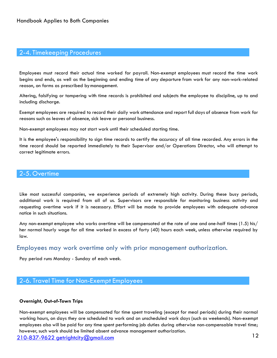## 2-4. Timekeeping Procedures

Employees must record their actual time worked for payroll. Non-exempt employees must record the time work begins and ends, as well as the beginning and ending time of any departure from work for any non-work-related reason, on forms as prescribed bymanagement.

Altering, falsifying or tampering with time records is prohibited and subjects the employee to discipline, up to and including discharge.

Exempt employees are required to record their daily work attendance and report full days of absence from work for reasons such as leaves of absence, sick leave or personal business.

Non-exempt employees may not start work until their scheduled starting time.

It is the employee's responsibility to sign time records to certify the accuracy of all time recorded. Any errors in the time record should be reported immediately to their Supervisor and/or Operations Director, who will attempt to correct legitimate errors.

#### 2-5. Overtime

Like most successful companies, we experience periods of extremely high activity. During these busy periods, additional work is required from all of us. Supervisors are responsible for monitoring business activity and requesting overtime work if it is necessary. Effort will be made to provide employees with adequate advance notice in such situations.

Any non-exempt employee who works overtime will be compensated at the rate of one and one-half times (1.5) his/ her normal hourly wage for all time worked in excess of forty (40) hours each week, unless otherwise required by law.

#### Employees may work overtime only with prior management authorization.

Pay period runs Monday - Sunday of each week.

#### 2-6. Travel Time for Non-Exempt Employees

#### **Overnight, Out-of-Town Trips**

12 [210-837-9622 getrightcity@gmail.com](mailto:210-837-9622%2520getrightcity@gmail.com) Non-exempt employees will be compensated for time spent traveling (except for meal periods) during their normal working hours, on days they are scheduled to work and on unscheduled work days (such as weekends). Non-exempt employees also will be paid for any time spent performing job duties during otherwise non-compensable travel time; however, such work should be limited absent advance management authorization.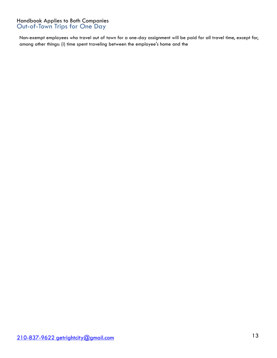#### Handbook Applies to Both Companies Out-of-Town Trips for One Day

Non-exempt employees who travel out of town for a one-day assignment will be paid for all travel time, except for, among other things: (i) time spent traveling between the employee's home and the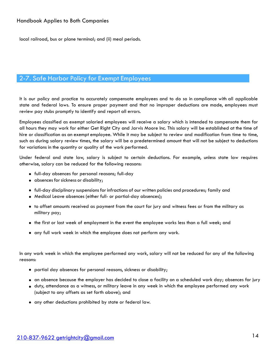local railroad, bus or plane terminal; and (ii) meal periods.

# 2-7. Safe Harbor Policy for Exempt Employees

It is our policy and practice to accurately compensate employees and to do so in compliance with all applicable state and federal laws. To ensure proper payment and that no improper deductions are made, employees must review pay stubs promptly to identify and report all errors.

Employees classified as exempt salaried employees will receive a salary which is intended to compensate them for all hours they may work for either Get Right City and Jarvis Moore Inc. This salary will be established at the time of hire or classification as an exempt employee. While it may be subject to review and modification from time to time, such as during salary review times, the salary will be a predetermined amount that will not be subject to deductions for variations in the quantity or quality of the work performed.

Under federal and state law, salary is subject to certain deductions. For example, unless state law requires otherwise, salary can be reduced for the following reasons:

- full-day absences for personal reasons; full-day
- absences for sickness or disability;
- full-day disciplinary suspensions for infractions of our written policies and procedures; family and
- Medical Leave absences (either full- or partial-day absences);
- to offset amounts received as payment from the court for jury and witness fees or from the military as military pay;
- the first or last week of employment in the event the employee works less than a full week; and
- any full work week in which the employee does not perform any work.

In any work week in which the employee performed any work, salary will not be reduced for any of the following reasons:

- partial day absences for personal reasons, sickness or disability;
- an absence because the employer has decided to close a facility on a scheduled work day; absences for jury
- duty, attendance as a witness, or military leave in any week in which the employee performed any work (subject to any offsets as set forth above); and
- any other deductions prohibited by state or federal law.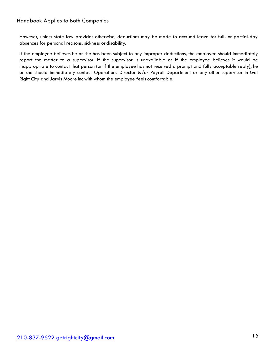However, unless state law provides otherwise, deductions may be made to accrued leave for full- or partial-day absences for personal reasons, sickness or disability.

If the employee believes he or she has been subject to any improper deductions, the employee should immediately report the matter to a supervisor. If the supervisor is unavailable or if the employee believes it would be inappropriate to contact that person (or if the employee has not received a prompt and fully acceptable reply), he or she should immediately contact Operations Director &/or Payroll Department or any other supervisor in Get Right City and Jarvis Moore Inc with whom the employee feels comfortable.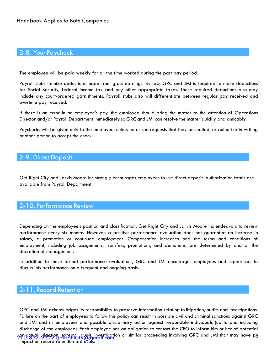# 2-8. Your Paycheck

The employee will be paid weekly for all the time worked during the past pay period.

Payroll stubs itemize deductions made from gross earnings. By law, GRC and JMI is required to make deductions for Social Security, federal income tax and any other appropriate taxes. These required deductions also may include any court-ordered garnishments. Payroll stubs also will differentiate between regular pay received and overtime pay received.

If there is an error in an employee's pay, the employee should bring the matter to the attention of Operations Director and/or Payroll Department immediately so GRC and JMI can resolve the matter quickly and amicably.

Paychecks will be given only to the employee, unless he or she requests that they be mailed, or authorize in writing another person to accept the check.

#### 2-9. Direct Deposit

Get Right City and Jarvis Moore Inc strongly encourages employees to use direct deposit. Authorization forms are available from Payroll Department.

### 2-10. Performance Review

Depending on the employee's position and classification, Get Right City and Jarvis Moore Inc endeavors to review performance every six months. However, a positive performance evaluation does not guarantee an increase in salary, a promotion or continued employment. Compensation increases and the terms and conditions of employment, including job assignments, transfers, promotions, and demotions, are determined by and at the discretion of management.

In addition to these formal performance evaluations, GRC and JMI encourages employees and supervisors to discuss job performance on a frequent and ongoing basis.

## 2-11. Record Retention

29109839 litigation, external qudit, investigation or similar proceeding involving GRC and JMI that may have bo GRC and JMI acknowledges its responsibility to preserve information relating to litigation, audits and investigations. Failure on the part of employees to follow this policy can result in possible civil and criminal sanctions against GRC and JMI and its employees and possible disciplinary action against responsible individuals (up to and including discharge of the employee). Each employee has an obligation to contact the CEO to inform him or her of potential impact on record retention protocols.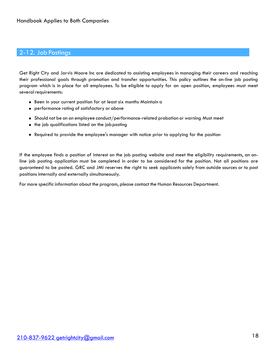# 2-12. Job Postings

Get Right City and Jarvis Moore Inc are dedicated to assisting employees in managing their careers and reaching their professional goals through promotion and transfer opportunities. This policy outlines the on-line job posting program which is in place for all employees. To be eligible to apply for an open position, employees must meet several requirements:

- Been in your current position for at least six months Maintain a
- performance rating of satisfactory or above
- Should not be on an employee conduct/performance-related probation or warning Must meet
- the job qualifications listed on the job posting
- Required to provide the employee's manager with notice prior to applying for the position

If the employee finds a position of interest on the job posting website and meet the eligibility requirements, an online job posting application must be completed in order to be considered for the position. Not all positions are guaranteed to be posted. GRC and JMI reserves the right to seek applicants solely from outside sources or to post positions internally and externally simultaneously.

For more specific information about the program, please contact the Human Resources Department.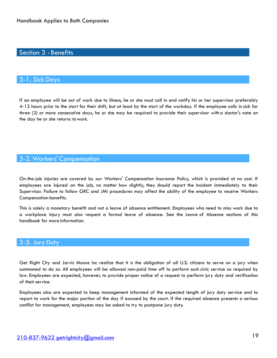# Section 3 -Benefits

#### 3-1. Sick Days

If an employee will be out of work due to illness, he or she must call in and notify his or her supervisor preferably 4-12 hours prior to the start for their shift, but at least by the start of the workday. If the employee calls in sick for three (3) or more consecutive days, he or she may be required to provide their supervisor with a doctor's note on the day he or she returns towork.

### 3-2.Workers' Compensation

On-the-job injuries are covered by our Workers' Compensation Insurance Policy, which is provided at no cost. If employees are injured on the job, no matter how slightly, they should report the incident immediately to their Supervisor. Failure to follow GRC and JMI procedures may affect the ability of the employee to receive Workers Compensation benefits.

This is solely a monetary benefit and not a leave of absence entitlement. Employees who need to miss work due to a workplace injury must also request a formal leave of absence. See the Leave of Absence sections of this handbook for more information.

#### 3-3. Jury Duty

Get Right City and Jarvis Moore Inc realize that it is the obligation of all U.S. citizens to serve on a jury when summoned to do so. All employees will be allowed non-paid time off to perform such civic service as required by law. Employees are expected, however, to provide proper notice of a request to perform jury duty and verification of their service.

Employees also are expected to keep management informed of the expected length of jury duty service and to report to work for the major portion of the day if excused by the court. If the required absence presents a serious conflict for management, employees may be asked to try to postpone jury duty.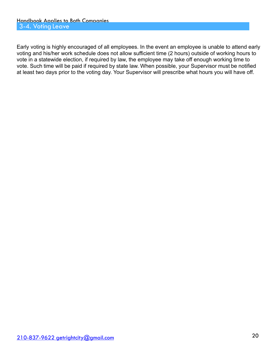Early voting is highly encouraged of all employees. In the event an employee is unable to attend early voting and his/her work schedule does not allow sufficient time (2 hours) outside of working hours to vote in a statewide election, if required by law, the employee may take off enough working time to vote. Such time will be paid if required by state law. When possible, your Supervisor must be notified at least two days prior to the voting day. Your Supervisor will prescribe what hours you will have off.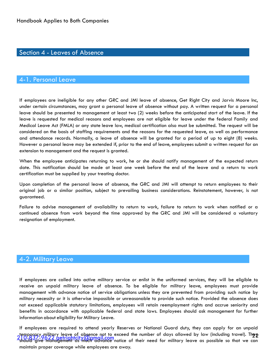# Section 4 - Leaves of Absence

#### 4-1. Personal Leave

If employees are ineligible for any other GRC and JMI leave of absence, Get Right City and Jarvis Moore Inc, under certain circumstances, may grant a personal leave of absence without pay. A written request for a personal leave should be presented to management at least two (2) weeks before the anticipated start of the leave. If the leave is requested for medical reasons and employees are not eligible for leave under the federal Family and Medical Leave Act (FMLA) or any state leave law, medical certification also must be submitted. The request will be considered on the basis of staffing requirements and the reasons for the requested leave, as well as performance and attendance records. Normally, a leave of absence will be granted for a period of up to eight (8) weeks. However a personal leave may be extended if, prior to the end of leave, employees submit a written request for an extension to management and the request is granted.

When the employee anticipates returning to work, he or she should notify management of the expected return date. This notification should be made at least one week before the end of the leave and a return to work certification must be supplied by your treating doctor.

Upon completion of the personal leave of absence, the GRC and JMI will attempt to return employees to their original job or a similar position, subject to prevailing business considerations. Reinstatement, however, is not guaranteed.

Failure to advise management of availability to return to work, failure to return to work when notified or a continued absence from work beyond the time approved by the GRC and JMI will be considered a voluntary resignation of employment.

#### 4-2. Military Leave

If employees are called into active military service or enlist in the uniformed services, they will be eligible to receive an unpaid military leave of absence. To be eligible for military leave, employees must provide management with advance notice of service obligations unless they are prevented from providing such notice by military necessity or it is otherwise impossible or unreasonable to provide such notice. Provided the absence does not exceed applicable statutory limitations, employees will retain reemployment rights and accrue seniority and benefits in accordance with applicable federal and state laws. Employees should ask management for further information about eligibility for Military Leave.

temporary military leave of absence not to exceed the number of days allowed by law (including travel). The p<br>210-837-9622 getrightcity(Q)amail.com<br>should give management as much advance notice of their need for military l If employees are required to attend yearly Reserves or National Guard duty, they can apply for an unpaid temporary military leave of absence not to exceed the number of days allowed by law (including travel). They maintain proper coverage while employees are away.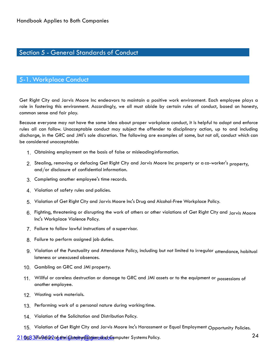# Section 5 - General Standards of Conduct

#### 5-1. Workplace Conduct

Get Right City and Jarvis Moore Inc endeavors to maintain a positive work environment. Each employee plays a role in fostering this environment. Accordingly, we all must abide by certain rules of conduct, based on honesty, common sense and fair play.

Because everyone may not have the same idea about proper workplace conduct, it is helpful to adopt and enforce rules all can follow. Unacceptable conduct may subject the offender to disciplinary action, up to and including discharge, in the GRC and JMI's sole discretion. The following are examples of some, but not all, conduct which can be considered unacceptable:

- 1. Obtaining employment on the basis of false or misleadinginformation.
- 2. Stealing, removing or defacing Get Right City and Jarvis Moore Inc property or a co-worker's property, and/or disclosure of confidential information.
- 3. Completing another employee's time records.
- 4. Violation of safety rules and policies.
- 5. Violation of Get Right City and Jarvis Moore Inc's Drug and Alcohol-Free Workplace Policy.
- 6. Fighting, threatening or disrupting the work of others or other violations of Get Right City and Jarvis Moore Inc's Workplace Violence Policy.
- 7. Failure to follow lawful instructions of a supervisor.
- 8. Failure to perform assigned job duties.
- 9. Violation of the Punctuality and Attendance Policy, including but not limited to irregular attendance, habitual lateness or unexcused absences.
- 10. Gambling on GRC and JMI property.
- 11. Willful or careless destruction or damage to GRC and JMI assets or to the equipment or possessions of another employee.
- 12. Wasting work materials.
- 13. Performing work of a personal nature during working time.
- 14. Violation of the Solicitation and Distribution Policy.
- 15. Violation of Get Right City and Jarvis Moore Inc's Harassment or Equal Employment Opportunity Policies.

24 [210-837-9622 getrightcity@gmail.com](mailto:210-837-9622%2520getrightcity@gmail.com) 16. Violation of the Communication and Computer Systems Policy.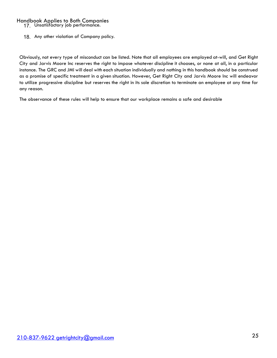17. Unsatisfactory job performance.

18. Any other violation of Company policy.

Obviously, not every type of misconduct can be listed. Note that all employees are employed at-will, and Get Right City and Jarvis Moore Inc reserves the right to impose whatever discipline it chooses, or none at all, in a particular instance. The GRC and JMI will deal with each situation individually and nothing in this handbook should be construed as a promise of specific treatment in a given situation. However, Get Right City and Jarvis Moore Inc will endeavor to utilize progressive discipline but reserves the right in its sole discretion to terminate an employee at any time for any reason.

The observance of these rules will help to ensure that our workplace remains a safe and desirable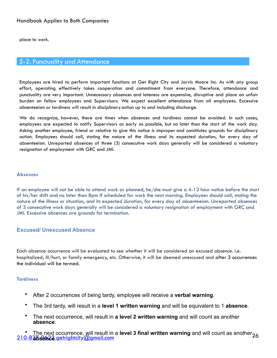place to work.

#### 5-2. Punctuality and Attendance

Employees are hired to perform important functions at Get Right City and Jarvis Moore Inc. As with any group effort, operating effectively takes cooperation and commitment from everyone. Therefore, attendance and punctuality are very important. Unnecessary absences and lateness are expensive, disruptive and place an unfair burden on fellow employees and Supervisors. We expect excellent attendance from all employees. Excessive absenteeism or tardiness will result in disciplinary action up to and including discharge.

We do recognize, however, there are times when absences and tardiness cannot be avoided. In such cases, employees are expected to notify Supervisors as early as possible, but no later than the start of the work day. Asking another employee, friend or relative to give this notice is improper and constitutes grounds for disciplinary action. Employees should call, stating the nature of the illness and its expected duration, for every day of absenteeism. Unreported absences of three (3) consecutive work days generally will be considered a voluntary resignation of employment with GRC and JMI.

#### **Absences**

If an employee will not be able to attend work as planned, he/she must give a 4-12 hour notice before the start of his/her shift and no later than 8pm if scheduled for work the next morning. Employees should call, stating the nature of the illness or situation, and its expected duration, for every day of absenteeism. Unreported absences of 3 consecutive work days generally will be considered a voluntary resignation of employment with GRC and JMI. Excessive absences are grounds for termination.

#### **Excused/ Unexcused Absence**

Each absence occurrence will be evaluated to see whether it will be considered an excused absence. i.e. hospitalized, ill/hurt, or family emergency, etc. Otherwise, it will be deemed unexcused and after 3 occurrences the individual will be termed.

#### **Tardiness**

- After 2 occurrences of being tardy, employee will receive a **verbal warning**.
- The 3rd tardy, will result in a **level 1 written warning** and will be equivalent to 1 **absence**.
- The next occurrence, will result in **a level 2 written warning** and will count as another **absence**.

<sup>•</sup> The next occurrence, will result in a **level 3 final written warning** and will count as another<sub>26</sub><br>210-836sence getrightcity@gmail.com 210-836sence getrightcity@gmail.com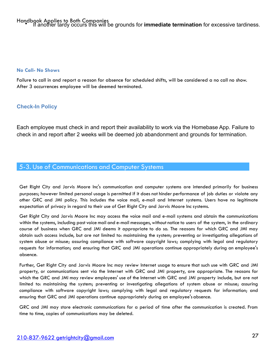#### **No Call- No Shows**

Failure to call in and report a reason for absence for scheduled shifts, will be considered a no call no show. After 3 occurrences employee will be deemed terminated.

#### **Check-In Policy**

Each employee must check in and report their availability to work via the Homebase App. Failure to check in and report after 2 weeks will be deemed job abandonment and grounds for termination.

# 5-3. Use of Communications and Computer Systems

Get Right City and Jarvis Moore Inc's communication and computer systems are intended primarily for business purposes; however limited personal usage is permitted if it does not hinder performance of job duties or violate any other GRC and JMI policy. This includes the voice mail, e-mail and Internet systems. Users have no legitimate expectation of privacy in regard to their use of Get Right City and Jarvis Moore Inc systems.

Get Right City and Jarvis Moore Inc may access the voice mail and e-mail systems and obtain the communications within the systems, including past voice mail and e-mail messages, without notice to users of the system, in the ordinary course of business when GRC and JMI deems it appropriate to do so. The reasons for which GRC and JMI may obtain such access include, but are not limited to: maintaining the system; preventing or investigating allegations of system abuse or misuse; assuring compliance with software copyright laws; complying with legal and regulatory requests for information; and ensuring that GRC and JMI operations continue appropriately during an employee's absence.

Further, Get Right City and Jarvis Moore Inc may review Internet usage to ensure that such use with GRC and JMI property, or communications sent via the Internet with GRC and JMI property, are appropriate. The reasons for which the GRC and JMI may review employees' use of the Internet with GRC and JMI property include, but are not limited to: maintaining the system; preventing or investigating allegations of system abuse or misuse; assuring compliance with software copyright laws; complying with legal and regulatory requests for information; and ensuring that GRC and JMI operations continue appropriately during an employee's absence.

GRC and JMI may store electronic communications for a period of time after the communication is created. From time to time, copies of communications may be deleted.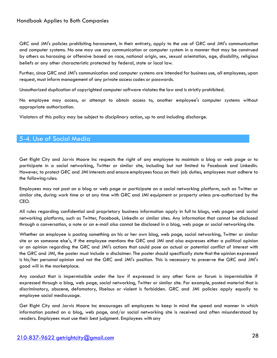GRC and JMI's policies prohibiting harassment, in their entirety, apply to the use of GRC and JMI's communication and computer systems. No one may use any communication or computer system in a manner that may be construed by others as harassing or offensive based on race, national origin, sex, sexual orientation, age, disability, religious beliefs or any other characteristic protected by federal, state or local law.

Further, since GRC and JMI's communication and computer systems are intended for business use, all employees, upon request, must inform management of any private access codes or passwords.

Unauthorized duplication of copyrighted computer software violates the law and is strictly prohibited.

No employee may access, or attempt to obtain access to, another employee's computer systems without appropriate authorization.

Violators of this policy may be subject to disciplinary action, up to and including discharge.

## 5-4. Use of Social Media

Get Right City and Jarvis Moore Inc respects the right of any employee to maintain a blog or web page or to participate in a social networking, Twitter or similar site, including but not limited to Facebook and LinkedIn. However, to protect GRC and JMI interests and ensure employees focus on their job duties, employees must adhere to the following rules:

Employees may not post on a blog or web page or participate on a social networking platform, such as Twitter or similar site, during work time or at any time with GRC and JMI equipment or property unless pre-authorized by the CEO.

All rules regarding confidential and proprietary business information apply in full to blogs, web pages and social networking platforms, such as Twitter, Facebook, LinkedIn or similar sites. Any information that cannot be disclosed through a conversation, a note or an e-mail also cannot be disclosed in a blog, web page or social networkingsite.

Whether an employee is posting something on his or her own blog, web page, social networking, Twitter or similar site or on someone else's, if the employee mentions the GRC and JMI and also expresses either a political opinion or an opinion regarding the GRC and JMI's actions that could pose an actual or potential conflict of interest with the GRC and JMI, the poster must include a disclaimer. The poster should specifically state that the opinion expressed is his/her personal opinion and not the GRC and JMI's position. This is necessary to preserve the GRC and JMI's good will in the marketplace.

Any conduct that is impermissible under the law if expressed in any other form or forum is impermissible if expressed through a blog, web page, social networking, Twitter or similar site. For example, posted material that is discriminatory, obscene, defamatory, libelous or violent is forbidden. GRC and JMI policies apply equally to employee social mediausage.

Get Right City and Jarvis Moore Inc encourages all employees to keep in mind the speed and manner in which information posted on a blog, web page, and/or social networking site is received and often misunderstood by readers. Employees must use their best judgment. Employees with any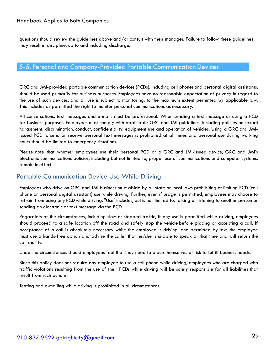questions should review the guidelines above and/or consult with their manager. Failure to follow these guidelines may result in discipline, up to and including discharge.

## 5-5. Personal and Company-Provided Portable Communication Devices

GRC and JMI-provided portable communication devices (PCDs), including cell phones and personal digital assistants, should be used primarily for business purposes. Employees have no reasonable expectation of privacy in regard to the use of such devices, and all use is subject to monitoring, to the maximum extent permitted by applicable law. This includes as permitted the right to monitor personal communications as necessary.

All conversations, text messages and e-mails must be professional. When sending a text message or using a PCD for business purposes. Employees must comply with applicable GRC and JMI guidelines, including policies on sexual harassment, discrimination, conduct, confidentiality, equipment use and operation of vehicles. Using a GRC and JMIissued PCD to send or receive personal text messages is prohibited at all times and personal use during working hours should be limited to emergency situations.

Please note that whether employees use their personal PCD or a GRC and JMI-issued device, GRC and JMI's electronic communications policies, including but not limited to, proper use of communications and computer systems, remain in effect.

# Portable Communication Device Use While Driving

Employees who drive on GRC and JMI business must abide by all state or local laws prohibiting or limiting PCD (cell phone or personal digital assistant) use while driving. Further, even if usage is permitted, employees may choose to refrain from using any PCD while driving. "Use" includes, but is not limited to, talking or listening to another person or sending an electronic or text message via the PCD.

Regardless of the circumstances, including slow or stopped traffic, if any use is permitted while driving, employees should proceed to a safe location off the road and safely stop the vehicle before placing or accepting a call. If acceptance of a call is absolutely necessary while the employee is driving, and permitted by law, the employee must use a hands-free option and advise the caller that he/she is unable to speak at that time and will return the call shortly.

Under no circumstances should employees feel that they need to place themselves at risk to fulfill business needs.

Since this policy does not require any employee to use a cell phone while driving, employees who are charged with traffic violations resulting from the use of their PCDs while driving will be solely responsible for all liabilities that result from such actions.

Texting and e-mailing while driving is prohibited in all circumstances.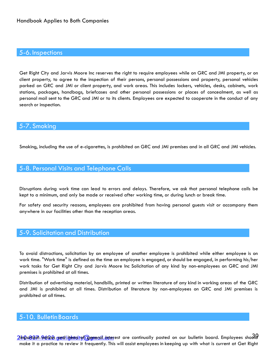#### 5-6. Inspections

Get Right City and Jarvis Moore Inc reserves the right to require employees while on GRC and JMI property, or on client property, to agree to the inspection of their persons, personal possessions and property, personal vehicles parked on GRC and JMI or client property, and work areas. This includes lockers, vehicles, desks, cabinets, work stations, packages, handbags, briefcases and other personal possessions or places of concealment, as well as personal mail sent to the GRC and JMI or to its clients. Employees are expected to cooperate in the conduct of any search or inspection.

#### 5-7. Smoking

Smoking, including the use of e-cigarettes, is prohibited on GRC and JMI premises and in all GRC and JMI vehicles.

#### 5-8. Personal Visits and Telephone Calls

Disruptions during work time can lead to errors and delays. Therefore, we ask that personal telephone calls be kept to a minimum, and only be made or received after working time, or during lunch or break time.

For safety and security reasons, employees are prohibited from having personal guests visit or accompany them anywhere in our facilities other than the reception areas.

#### 5-9. Solicitation and Distribution

To avoid distractions, solicitation by an employee of another employee is prohibited while either employee is on work time. "Work time" is defined as the time an employee is engaged, or should be engaged, in performing his/her work tasks for Get Right City and Jarvis Moore Inc Solicitation of any kind by non-employees on GRC and JMI premises is prohibited at all times.

Distribution of advertising material, handbills, printed or written literature of any kind in working areas of the GRC and JMI is prohibited at all times. Distribution of literature by non-employees on GRC and JMI premises is prohibited at all times.

## 5-10. BulletinBoards

21h00637-96128 gutitute to the state of general interest are continually posted on our bulletin board. Employees shool make it a practice to review it frequently. This will assist employees in keeping up with what is current at Get Right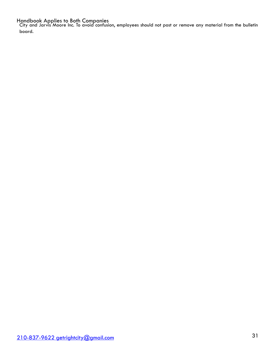City and Jarvis Moore Inc. To avoid confusion, employees should not post or remove any material from the bulletin board.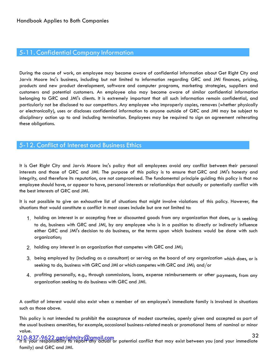# 5-11. Confidential Company Information

During the course of work, an employee may become aware of confidential information about Get Right City and Jarvis Moore Inc's business, including but not limited to information regarding GRC and JMI finances, pricing, products and new product development, software and computer programs, marketing strategies, suppliers and customers and potential customers. An employee also may become aware of similar confidential information belonging to GRC and JMI's clients. It is extremely important that all such information remain confidential, and particularly not be disclosed to our competitors. Any employee who improperly copies, removes (whether physically or electronically), uses or discloses confidential information to anyone outside of GRC and JMI may be subject to disciplinary action up to and including termination. Employees may be required to sign an agreement reiterating these obligations.

## 5-12. Conflict of Interest and Business Ethics

It is Get Right City and Jarvis Moore Inc's policy that all employees avoid any conflict between their personal interests and those of GRC and JMI. The purpose of this policy is to ensure that GRC and JMI's honesty and integrity, and therefore its reputation, are not compromised. The fundamental principle guiding this policy is that no employee should have, or appear to have, personal interests or relationships that actually or potentially conflict with the best interests of GRC and JMI.

It is not possible to give an exhaustive list of situations that might involve violations of this policy. However, the situations that would constitute a conflict in most cases include but are not limited to:

- 1. holding an interest in or accepting free or discounted goods from any organization that does, or is seeking to do, business with GRC and JMI, by any employee who is in a position to directly or indirectly influence either GRC and JMI's decision to do business, or the terms upon which business would be done with such organization;
- 2. holding any interest in an organization that competes with GRC and JMI;
- 3. being employed by (including as a consultant) or serving on the board of any organization which does, or is seeking to do, business with GRC and JMI or which competes with GRC and JMI; and/or
- 4. profiting personally, e.g., through commissions, loans, expense reimbursements or other payments, from any organization seeking to do business with GRC and JMI.

A conflict of interest would also exist when a member of an employee's immediate family is involved in situations such as those above.

This policy is not intended to prohibit the acceptance of modest courtesies, openly given and accepted as part of the usual business amenities, for example, occasional business-related meals or promotional items of nominal or minor value.

32 [210-837-9622 getrightcity@gmail.com](mailto:210-837-9622%2520getrightcity@gmail.com) It is your responsibility to report any actual or potential conflict that may exist between you (and your immediate family) and GRC and JMI.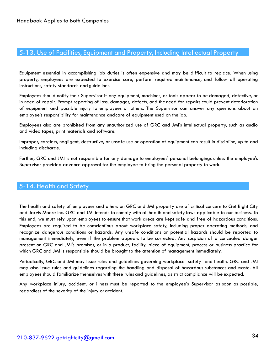## 5-13. Use of Facilities, Equipment and Property, Including Intellectual Property

Equipment essential in accomplishing job duties is often expensive and may be difficult to replace. When using property, employees are expected to exercise care, perform required maintenance, and follow all operating instructions, safety standards and guidelines.

Employees should notify their Supervisor if any equipment, machines, or tools appear to be damaged, defective, or in need of repair. Prompt reporting of loss, damages, defects, and the need for repairs could prevent deterioration of equipment and possible injury to employees or others. The Supervisor can answer any questions about an employee's responsibility for maintenance andcare of equipment used on the job.

Employees also are prohibited from any unauthorized use of GRC and JMI's intellectual property, such as audio and video tapes, print materials and software.

Improper, careless, negligent, destructive, or unsafe use or operation of equipment can result in discipline, up to and including discharge.

Further, GRC and JMI is not responsible for any damage to employees' personal belongings unless the employee's Supervisor provided advance approval for the employee to bring the personal property to work.

#### 5-14. Health and Safety

The health and safety of employees and others on GRC and JMI property are of critical concern to Get Right City and Jarvis Moore Inc. GRC and JMI intends to comply with all health and safety laws applicable to our business. To this end, we must rely upon employees to ensure that work areas are kept safe and free of hazardous conditions. Employees are required to be conscientious about workplace safety, including proper operating methods, and recognize dangerous conditions or hazards. Any unsafe conditions or potential hazards should be reported to management immediately, even if the problem appears to be corrected. Any suspicion of a concealed danger present on GRC and JMI's premises, or in a product, facility, piece of equipment, process or business practice for which GRC and JMI is responsible should be brought to the attention of management immediately.

Periodically, GRC and JMI may issue rules and guidelines governing workplace safety and health. GRC and JMI may also issue rules and guidelines regarding the handling and disposal of hazardous substances and waste. All employees should familiarize themselves with these rules and guidelines, as strict compliance will be expected.

Any workplace injury, accident, or illness must be reported to the employee's Supervisor as soon as possible, regardless of the severity of the injury oraccident.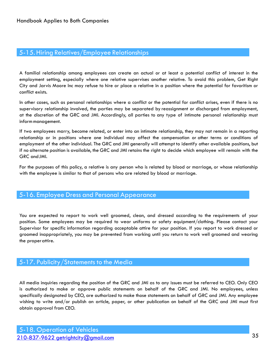# 5-15.Hiring Relatives/Employee Relationships

A familial relationship among employees can create an actual or at least a potential conflict of interest in the employment setting, especially where one relative supervises another relative. To avoid this problem, Get Right City and Jarvis Moore Inc may refuse to hire or place a relative in a position where the potential for favoritism or conflict exists.

In other cases, such as personal relationships where a conflict or the potential for conflict arises, even if there is no supervisory relationship involved, the parties may be separated by reassignment or discharged from employment, at the discretion of the GRC and JMI. Accordingly, all parties to any type of intimate personal relationship must informmanagement.

If two employees marry, become related, or enter into an intimate relationship, they may not remain in a reporting relationship or in positions where one individual may affect the compensation or other terms or conditions of employment of the other individual. The GRC and JMI generally will attempt to identify other available positions, but if no alternate position is available, the GRC and JMI retains the right to decide which employee will remain with the GRC andJMI.

For the purposes of this policy, a relative is any person who is related by blood or marriage, or whose relationship with the employee is similar to that of persons who are related by blood or marriage.

# 5-16. Employee Dress and Personal Appearance

You are expected to report to work well groomed, clean, and dressed according to the requirements of your position. Some employees may be required to wear uniforms or safety equipment/clothing. Please contact your Supervisor for specific information regarding acceptable attire for your position. If you report to work dressed or groomed inappropriately, you may be prevented from working until you return to work well groomed and wearing the properattire.

# 5-17. Publicity/Statements to the Media

All media inquiries regarding the position of the GRC and JMI as to any issues must be referred to CEO. Only CEO is authorized to make or approve public statements on behalf of the GRC and JMI. No employees, unless specifically designated by CEO, are authorized to make those statements on behalf of GRC and JMI. Any employee wishing to write and/or publish an article, paper, or other publication on behalf of the GRC and JMI must first obtain approval from CEO.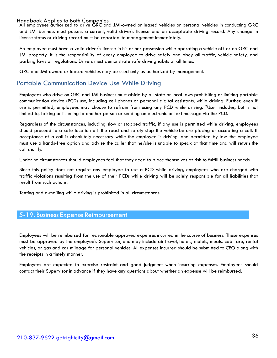All employees authorized to drive GRC and JMI-owned or leased vehicles or personal vehicles in conducting GRC and JMI business must possess a current, valid driver's license and an acceptable driving record. Any change in license status or driving record must be reported to management immediately.

An employee must have a valid driver's license in his or her possession while operating a vehicle off or on GRC and JMI property. It is the responsibility of every employee to drive safely and obey all traffic, vehicle safety, and parking laws or regulations. Drivers must demonstrate safe drivinghabits at all times.

GRC and JMI-owned or leased vehicles may be used only as authorized by management.

# Portable Communication Device Use While Driving

Employees who drive on GRC and JMI business must abide by all state or local laws prohibiting or limiting portable communication device (PCD) use, including cell phones or personal digital assistants, while driving. Further, even if use is permitted, employees may choose to refrain from using any PCD while driving. "Use" includes, but is not limited to, talking or listening to another person or sending an electronic or text message via the PCD.

Regardless of the circumstances, including slow or stopped traffic, if any use is permitted while driving, employees should proceed to a safe location off the road and safely stop the vehicle before placing or accepting a call. If acceptance of a call is absolutely necessary while the employee is driving, and permitted by law, the employee must use a hands-free option and advise the caller that he/she is unable to speak at that time and will return the call shortly.

Under no circumstances should employees feel that they need to place themselves at risk to fulfill business needs.

Since this policy does not require any employee to use a PCD while driving, employees who are charged with traffic violations resulting from the use of their PCDs while driving will be solely responsible for all liabilities that result from such actions.

Texting and e-mailing while driving is prohibited in all circumstances.

#### 5-19. Business Expense Reimbursement

Employees will be reimbursed for reasonable approved expenses incurred in the course of business. These expenses must be approved by the employee's Supervisor, and may include air travel, hotels, motels, meals, cab fare, rental vehicles, or gas and car mileage for personal vehicles. All expenses incurred should be submitted to CEO along with the receipts in a timely manner.

Employees are expected to exercise restraint and good judgment when incurring expenses. Employees should contact their Supervisor in advance if they have any questions about whether an expense will be reimbursed.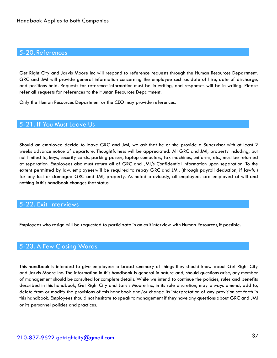#### 5-20. References

Get Right City and Jarvis Moore Inc will respond to reference requests through the Human Resources Department. GRC and JMI will provide general information concerning the employee such as date of hire, date of discharge, and positions held. Requests for reference information must be in writing, and responses will be in writing. Please refer all requests for references to the Human Resources Department.

Only the Human Resources Department or the CEO may provide references.

#### 5-21. If You Must Leave Us

Should an employee decide to leave GRC and JMI, we ask that he or she provide a Supervisor with at least 2 weeks advance notice of departure. Thoughtfulness will be appreciated. All GRC and JMI, property including, but not limited to, keys, security cards, parking passes, laptop computers, fax machines, uniforms, etc., must be returned at separation. Employees also must return all of GRC and JMI,'s Confidential Information upon separation. To the extent permitted by law, employeeswill be required to repay GRC and JMI, (through payroll deduction, if lawful) for any lost or damaged GRC and JMI, property. As noted previously, all employees are employed at-will and nothing inthis handbook changes that status.

#### 5-22. Exit Interviews

Employees who resign will be requested to participate in an exit interview with Human Resources, if possible.

#### 5-23. A Few Closing Words

This handbook is intended to give employees a broad summary of things they should know about Get Right City and Jarvis Moore Inc. The information in this handbook is general in nature and, should questions arise, any member of management should be consulted for complete details. While we intend to continue the policies, rules and benefits described in this handbook, Get Right City and Jarvis Moore Inc, in its sole discretion, may always amend, add to, delete from or modify the provisions of this handbook and/or change its interpretation of any provision set forth in this handbook. Employees should not hesitate to speak to management if they have any questions about GRC and JMI or its personnel policies and practices.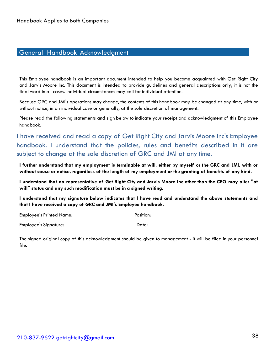# General Handbook Acknowledgment

This Employee handbook is an important document intended to help you become acquainted with Get Right City and Jarvis Moore Inc. This document is intended to provide guidelines and general descriptions only; it is not the final word in all cases. Individual circumstances may call for individual attention.

Because GRC and JMI's operations may change, the contents of this handbook may be changed at any time, with or without notice, in an individual case or generally, at the sole discretion of management.

Please read the following statements and sign below to indicate your receipt and acknowledgment of this Employee handbook.

I have received and read a copy of Get Right City and Jarvis Moore Inc's Employee handbook. I understand that the policies, rules and benefits described in it are subject to change at the sole discretion of GRC and JMI at any time.

**I further understand that my employment is terminable at will, either by myself or the GRC and JMI, with or without cause or notice, regardless of the length of my employment or the granting of benefits of any kind.** 

I understand that no representative of Get Right City and Jarvis Moore Inc other than the CEO may alter "at **will" status and any such modification must be in a signed writing.** 

**I understand that my signature below indicates that I have read and understand the above statements and that I have received a copy of GRC and JMI's Employee handbook.** 

Employee's Printed Name: Position: Employee's Signature: Date: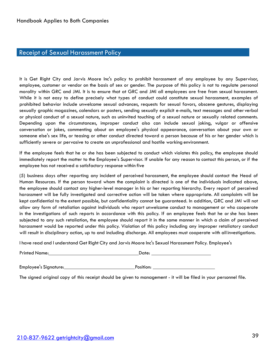# Receipt of Sexual Harassment Policy

It is Get Right City and Jarvis Moore Inc's policy to prohibit harassment of any employee by any Supervisor, employee, customer or vendor on the basis of sex or gender. The purpose of this policy is not to regulate personal morality within GRC and JMI. It is to ensure that at GRC and JMI all employees are free from sexual harassment. While it is not easy to define precisely what types of conduct could constitute sexual harassment, examples of prohibited behavior include unwelcome sexual advances, requests for sexual favors, obscene gestures, displaying sexually graphic magazines, calendars or posters, sending sexually explicit e-mails, text messages and other verbal or physical conduct of a sexual nature, such as uninvited touching of a sexual nature or sexually related comments. Depending upon the circumstances, improper conduct also can include sexual joking, vulgar or offensive conversation or jokes, commenting about an employee's physical appearance, conversation about your own or someone else's sex life, or teasing or other conduct directed toward a person because of his or her gender which is sufficiently severe or pervasive to create an unprofessional and hostile working environment.

If the employee feels that he or she has been subjected to conduct which violates this policy, the employee should immediately report the matter to the Employee's Supervisor. If unable for any reason to contact this person, or if the employee has not received a satisfactory response within five

(5) business days after reporting any incident of perceived harassment, the employee should contact the Head of Human Resources. If the person toward whom the complaint is directed is one of the individuals indicated above, the employee should contact any higher-level manager in his or her reporting hierarchy. Every report of perceived harassment will be fully investigated and corrective action will be taken where appropriate. All complaints will be kept confidential to the extent possible, but confidentiality cannot be guaranteed. In addition, GRC and JMI will not allow any form of retaliation against individuals who report unwelcome conduct to management or who cooperate in the investigations of such reports in accordance with this policy. If an employee feels that he or she has been subjected to any such retaliation, the employee should report it in the same manner in which a claim of perceived harassment would be reported under this policy. Violation of this policy including any improper retaliatory conduct will result in disciplinary action, up to and including discharge. All employees must cooperate with all investigations.

I have read and I understand Get Right City and Jarvis Moore Inc's Sexual Harassment Policy. Employee's

Printed Name: Date:

 $\overline{\phantom{0}}$  Position:  $\overline{\phantom{0}}$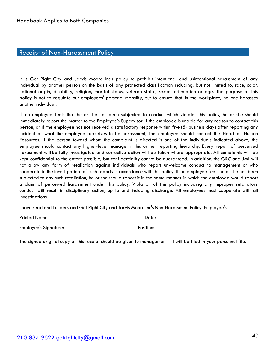#### Receipt of Non-Harassment Policy

It is Get Right City and Jarvis Moore Inc's policy to prohibit intentional and unintentional harassment of any individual by another person on the basis of any protected classification including, but not limited to, race, color, national origin, disability, religion, marital status, veteran status, sexual orientation or age. The purpose of this policy is not to regulate our employees' personal morality, but to ensure that in the workplace, no one harasses anotherindividual.

If an employee feels that he or she has been subjected to conduct which violates this policy, he or she should immediately report the matter to the Employee's Supervisor. If the employee is unable for any reason to contact this person, or if the employee has not received a satisfactory response within five (5) business days after reporting any incident of what the employee perceives to be harassment, the employee should contact the Head of Human Resources. If the person toward whom the complaint is directed is one of the individuals indicated above, the employee should contact any higher-level manager in his or her reporting hierarchy. Every report of perceived harassment will be fully investigated and corrective action will be taken where appropriate. All complaints will be kept confidential to the extent possible, but confidentiality cannot be guaranteed. In addition, the GRC and JMI will not allow any form of retaliation against individuals who report unwelcome conduct to management or who cooperate in the investigations of such reports in accordance with this policy. If an employee feels he or she has been subjected to any such retaliation, he or she should report it in the same manner in which the employee would report a claim of perceived harassment under this policy. Violation of this policy including any improper retaliatory conduct will result in disciplinary action, up to and including discharge. All employees must cooperate with all investigations.

I have read and I understand Get Right City and Jarvis Moore Inc's Non-Harassment Policy. Employee's

| <b>Printed Name:</b>  | Date:     |
|-----------------------|-----------|
| Employee's Signature: | Position: |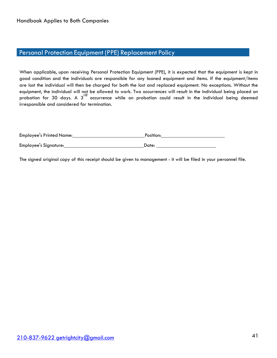# Personal Protection Equipment (PPE) Replacement Policy

When applicable, upon receiving Personal Protection Equipment (PPE), it is expected that the equipment is kept in good condition and the individuals are responsible for any loaned equipment and items. If the equipment/items are lost the individual will then be charged for both the lost and replaced equipment. No exceptions. Without the equipment, the individual will not be allowed to work. Two occurrences will result in the individual being placed on probation for 30 days. A  $3<sup>rd</sup>$  occurrence while on probation could result in the individual being deemed irresponsible and considered for termination.

| Employee's Printed Name: | Position: |
|--------------------------|-----------|
| Employee's Signature:    | Date:     |